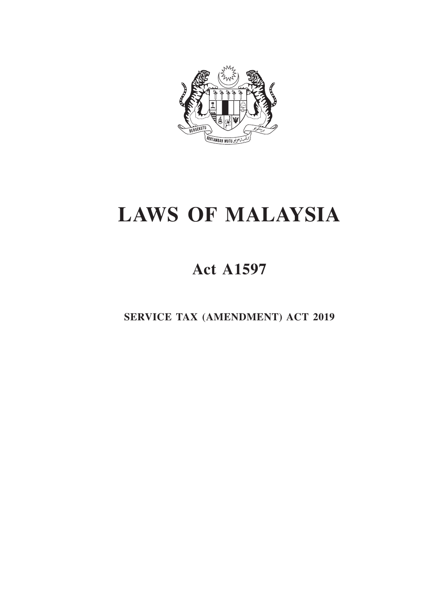

# **LAWS OF MALAYSIA**

# **Act A1597**

**SERVICE TAX (AMENDMENT) ACT 2019**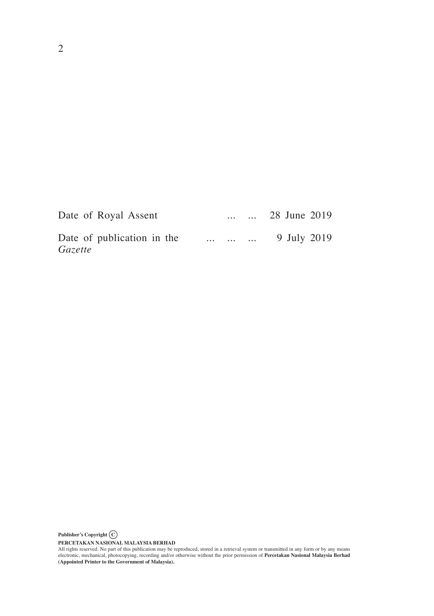| Date of Royal Assent                  | <b>Contractor</b> |                   | $\ldots$ 28 June 2019 |
|---------------------------------------|-------------------|-------------------|-----------------------|
| Date of publication in the<br>Gazette |                   | $\cdots$ $\cdots$ | 9 July 2019           |

**Publisher's Copyright C**

PERCETAKAN NASIONAL MALAYSIA BERHAD<br>All rights reserved. No part of this publication may be reproduced, stored in a retrieval system or transmitted in any form or by any means<br>electronic, mechanical, photocopying, recordin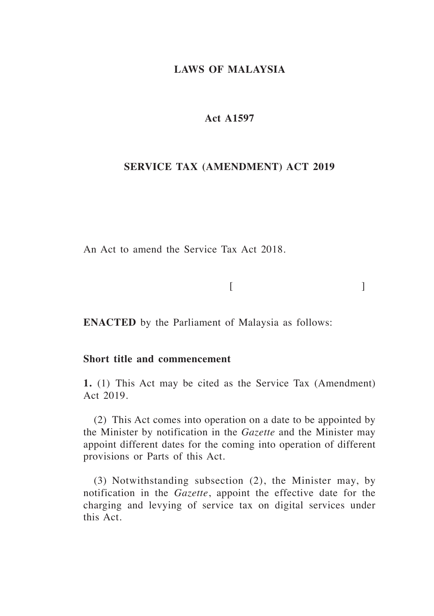# **LAWS OF MALAYSIA**

# **Act A1597**

# **SERVICE TAX (AMENDMENT) ACT 2019**

An Act to amend the Service Tax Act 2018.

 $[$ 

**ENACTED** by the Parliament of Malaysia as follows:

# **Short title and commencement**

**1.** (1) This Act may be cited as the Service Tax (Amendment) Act 2019.

(2) This Act comes into operation on a date to be appointed by the Minister by notification in the *Gazette* and the Minister may appoint different dates for the coming into operation of different provisions or Parts of this Act*.*

(3) Notwithstanding subsection (2), the Minister may, by notification in the *Gazette*, appoint the effective date for the charging and levying of service tax on digital services under this Act.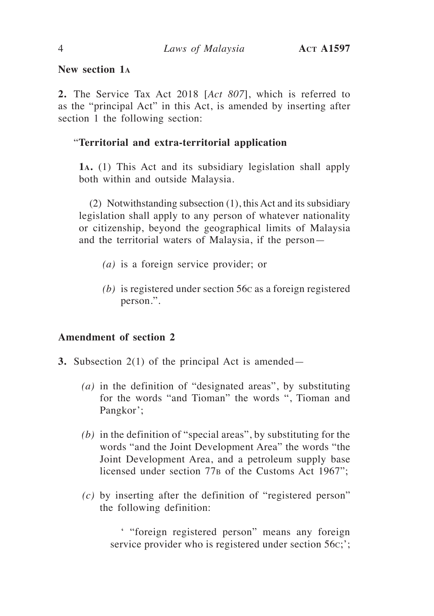# **New section 1<sup>a</sup>**

**2.** The Service Tax Act 2018 [*Act 807*], which is referred to as the "principal Act" in this Act, is amended by inserting after section 1 the following section:

# "**Territorial and extra-territorial application**

**1a.** (1) This Act and its subsidiary legislation shall apply both within and outside Malaysia.

(2) Notwithstanding subsection (1), this Act and its subsidiary legislation shall apply to any person of whatever nationality or citizenship, beyond the geographical limits of Malaysia and the territorial waters of Malaysia, if the person—

- *(a)* is a foreign service provider; or
- *(b)* is registered under section 56c as a foreign registered person.".

# **Amendment of section 2**

- **3.** Subsection 2(1) of the principal Act is amended—
	- *(a)* in the definition of "designated areas", by substituting for the words "and Tioman" the words ", Tioman and Pangkor';
	- *(b)* in the definition of "special areas", by substituting for the words "and the Joint Development Area" the words "the Joint Development Area, and a petroleum supply base licensed under section 77<sub>B</sub> of the Customs Act 1967";
	- *(c)* by inserting after the definition of "registered person" the following definition:

' "foreign registered person" means any foreign service provider who is registered under section 56c;';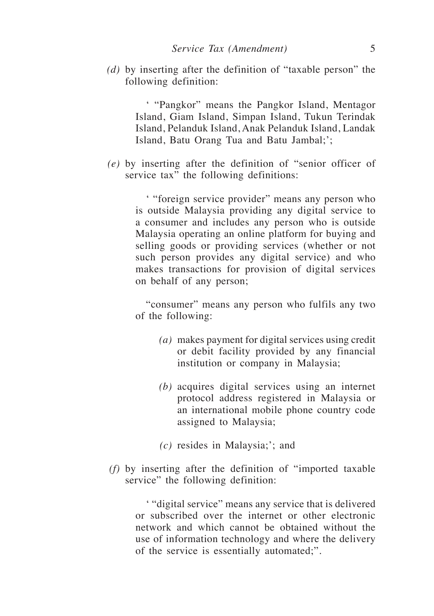*(d)* by inserting after the definition of "taxable person" the following definition:

> ' "Pangkor" means the Pangkor Island, Mentagor Island, Giam Island, Simpan Island, Tukun Terindak Island, Pelanduk Island, Anak Pelanduk Island, Landak Island, Batu Orang Tua and Batu Jambal;';

*(e)* by inserting after the definition of "senior officer of service tax" the following definitions:

> ' "foreign service provider" means any person who is outside Malaysia providing any digital service to a consumer and includes any person who is outside Malaysia operating an online platform for buying and selling goods or providing services (whether or not such person provides any digital service) and who makes transactions for provision of digital services on behalf of any person;

> "consumer" means any person who fulfils any two of the following:

- *(a)* makes payment for digital services using credit or debit facility provided by any financial institution or company in Malaysia;
- *(b)* acquires digital services using an internet protocol address registered in Malaysia or an international mobile phone country code assigned to Malaysia;
- *(c)* resides in Malaysia;'; and
- *(f)* by inserting after the definition of "imported taxable service" the following definition:

' "digital service" means any service that is delivered or subscribed over the internet or other electronic network and which cannot be obtained without the use of information technology and where the delivery of the service is essentially automated;".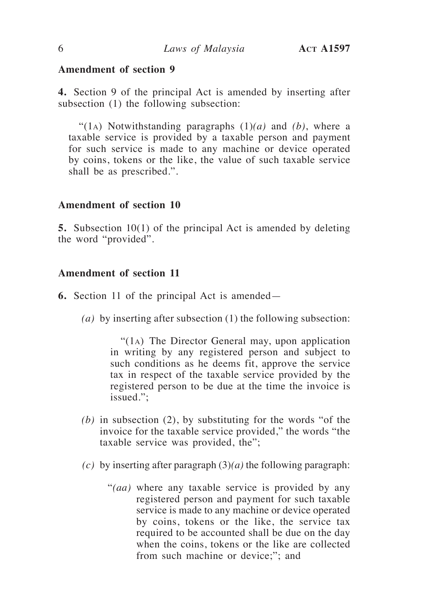**4.** Section 9 of the principal Act is amended by inserting after subsection (1) the following subsection:

"(1a) Notwithstanding paragraphs (1)*(a)* and *(b)*, where a taxable service is provided by a taxable person and payment for such service is made to any machine or device operated by coins, tokens or the like, the value of such taxable service shall be as prescribed.".

# **Amendment of section 10**

**5.** Subsection 10(1) of the principal Act is amended by deleting the word "provided".

# **Amendment of section 11**

- **6.** Section 11 of the principal Act is amended—
	- *(a)* by inserting after subsection (1) the following subsection:

"(1a) The Director General may, upon application in writing by any registered person and subject to such conditions as he deems fit, approve the service tax in respect of the taxable service provided by the registered person to be due at the time the invoice is issued.";

- *(b)* in subsection (2), by substituting for the words "of the invoice for the taxable service provided," the words "the taxable service was provided, the";
- *(c)* by inserting after paragraph (3)*(a)* the following paragraph:
	- "*(aa)* where any taxable service is provided by any registered person and payment for such taxable service is made to any machine or device operated by coins, tokens or the like, the service tax required to be accounted shall be due on the day when the coins, tokens or the like are collected from such machine or device;"; and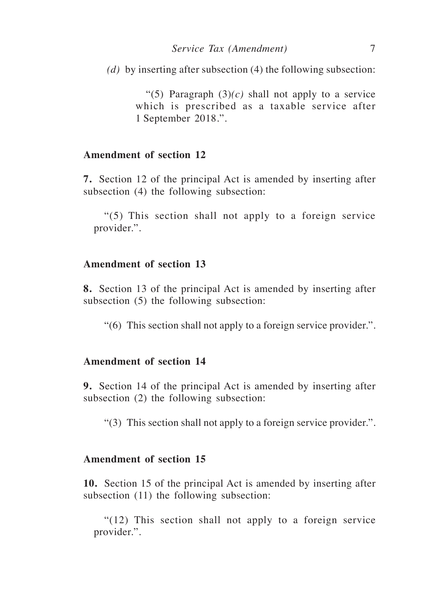*(d)* by inserting after subsection (4) the following subsection:

"(5) Paragraph  $(3)(c)$  shall not apply to a service which is prescribed as a taxable service after 1 September 2018.".

# **Amendment of section 12**

**7.** Section 12 of the principal Act is amended by inserting after subsection (4) the following subsection:

"(5) This section shall not apply to a foreign service provider.".

# **Amendment of section 13**

**8.** Section 13 of the principal Act is amended by inserting after subsection (5) the following subsection:

"(6) This section shall not apply to a foreign service provider.".

#### **Amendment of section 14**

**9.** Section 14 of the principal Act is amended by inserting after subsection (2) the following subsection:

"(3) This section shall not apply to a foreign service provider.".

# **Amendment of section 15**

**10.** Section 15 of the principal Act is amended by inserting after subsection (11) the following subsection:

"(12) This section shall not apply to a foreign service provider.".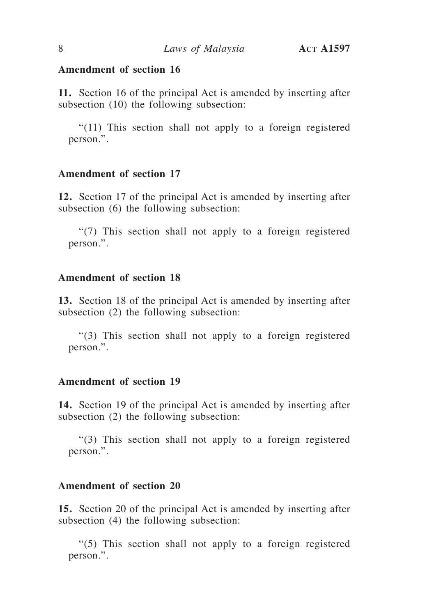**11.** Section 16 of the principal Act is amended by inserting after subsection (10) the following subsection:

"(11) This section shall not apply to a foreign registered person.".

# **Amendment of section 17**

**12.** Section 17 of the principal Act is amended by inserting after subsection (6) the following subsection:

"(7) This section shall not apply to a foreign registered person.".

# **Amendment of section 18**

**13.** Section 18 of the principal Act is amended by inserting after subsection (2) the following subsection:

"(3) This section shall not apply to a foreign registered person.".

# **Amendment of section 19**

**14.** Section 19 of the principal Act is amended by inserting after subsection (2) the following subsection:

"(3) This section shall not apply to a foreign registered person.".

# **Amendment of section 20**

**15.** Section 20 of the principal Act is amended by inserting after subsection (4) the following subsection:

"(5) This section shall not apply to a foreign registered person.".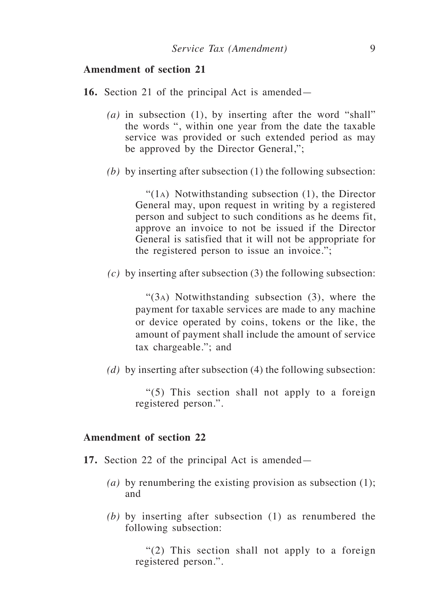- **16.** Section 21 of the principal Act is amended—
	- *(a)* in subsection (1), by inserting after the word "shall" the words ", within one year from the date the taxable service was provided or such extended period as may be approved by the Director General,";
	- *(b)* by inserting after subsection (1) the following subsection:

"(1a) Notwithstanding subsection (1), the Director General may, upon request in writing by a registered person and subject to such conditions as he deems fit, approve an invoice to not be issued if the Director General is satisfied that it will not be appropriate for the registered person to issue an invoice.";

*(c)* by inserting after subsection (3) the following subsection:

"(3a) Notwithstanding subsection (3), where the payment for taxable services are made to any machine or device operated by coins, tokens or the like, the amount of payment shall include the amount of service tax chargeable."; and

*(d)* by inserting after subsection (4) the following subsection:

"(5) This section shall not apply to a foreign registered person.".

#### **Amendment of section 22**

- **17.** Section 22 of the principal Act is amended—
	- *(a)* by renumbering the existing provision as subsection (1); and
	- *(b)* by inserting after subsection (1) as renumbered the following subsection:

"(2) This section shall not apply to a foreign registered person.".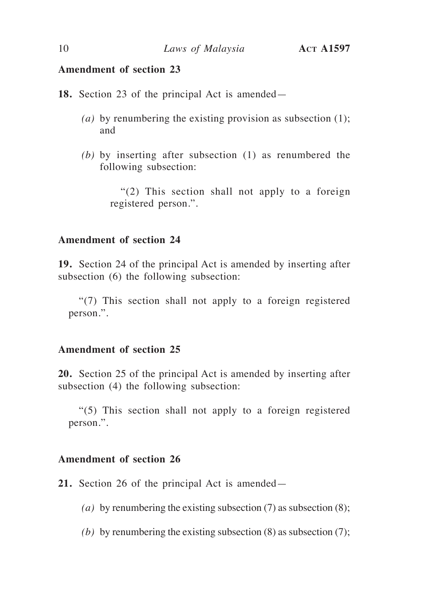**18.** Section 23 of the principal Act is amended—

- *(a)* by renumbering the existing provision as subsection (1); and
- *(b)* by inserting after subsection (1) as renumbered the following subsection:

"(2) This section shall not apply to a foreign registered person.".

# **Amendment of section 24**

**19.** Section 24 of the principal Act is amended by inserting after subsection (6) the following subsection:

"(7) This section shall not apply to a foreign registered person.".

# **Amendment of section 25**

**20.** Section 25 of the principal Act is amended by inserting after subsection (4) the following subsection:

"(5) This section shall not apply to a foreign registered person.".

# **Amendment of section 26**

**21.** Section 26 of the principal Act is amended—

- *(a)* by renumbering the existing subsection (7) as subsection (8);
- *(b)* by renumbering the existing subsection (8) as subsection (7);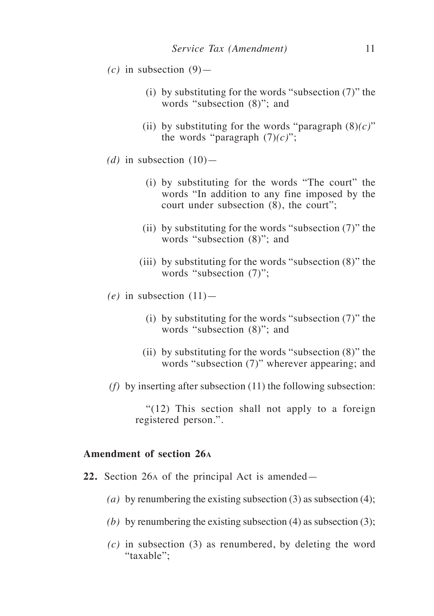- $(c)$  in subsection  $(9)$ 
	- (i) by substituting for the words "subsection (7)" the words "subsection (8)"; and
	- (ii) by substituting for the words "paragraph  $(8)(c)$ " the words "paragraph  $(7)(c)$ ";
- (*d*) in subsection  $(10)$ 
	- (i) by substituting for the words "The court" the words "In addition to any fine imposed by the court under subsection (8), the court";
	- (ii) by substituting for the words "subsection  $(7)$ " the words "subsection (8)"; and
	- (iii) by substituting for the words "subsection (8)" the words "subsection (7)";
- $(e)$  in subsection  $(11)$ 
	- (i) by substituting for the words "subsection (7)" the words "subsection (8)"; and
	- (ii) by substituting for the words "subsection (8)" the words "subsection (7)" wherever appearing; and
- *(f)* by inserting after subsection (11) the following subsection:

"(12) This section shall not apply to a foreign registered person.".

# **Amendment of section 26<sup>a</sup>**

- **22.** Section 26a of the principal Act is amended—
	- *(a)* by renumbering the existing subsection (3) as subsection (4);
	- *(b)* by renumbering the existing subsection (4) as subsection (3);
	- *(c)* in subsection (3) as renumbered, by deleting the word "taxable":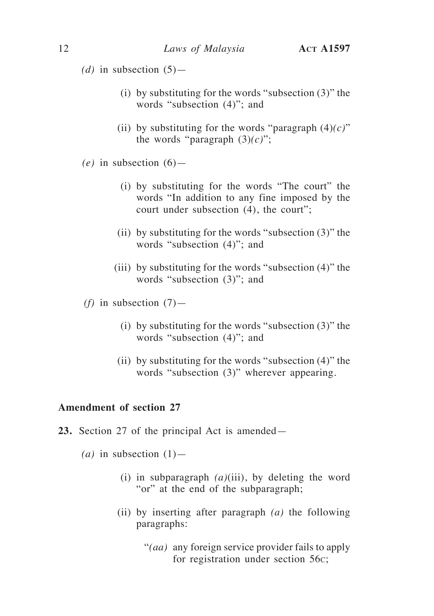(*d*) in subsection  $(5)$ —

- (i) by substituting for the words "subsection (3)" the words "subsection (4)"; and
- (ii) by substituting for the words "paragraph  $(4)(c)$ " the words "paragraph  $(3)(c)$ ";
- $(e)$  in subsection  $(6)$ 
	- (i) by substituting for the words "The court" the words "In addition to any fine imposed by the court under subsection (4), the court";
	- (ii) by substituting for the words "subsection (3)" the words "subsection (4)"; and
	- (iii) by substituting for the words "subsection (4)" the words "subsection (3)"; and
- *(f)* in subsection  $(7)$ 
	- (i) by substituting for the words "subsection (3)" the words "subsection (4)"; and
	- (ii) by substituting for the words "subsection (4)" the words "subsection (3)" wherever appearing.

# **Amendment of section 27**

- **23.** Section 27 of the principal Act is amended—
	- $(a)$  in subsection  $(1)$ 
		- (i) in subparagraph *(a)*(iii), by deleting the word "or" at the end of the subparagraph;
		- (ii) by inserting after paragraph *(a)* the following paragraphs:
			- "*(aa)* any foreign service provider fails to apply for registration under section 56c;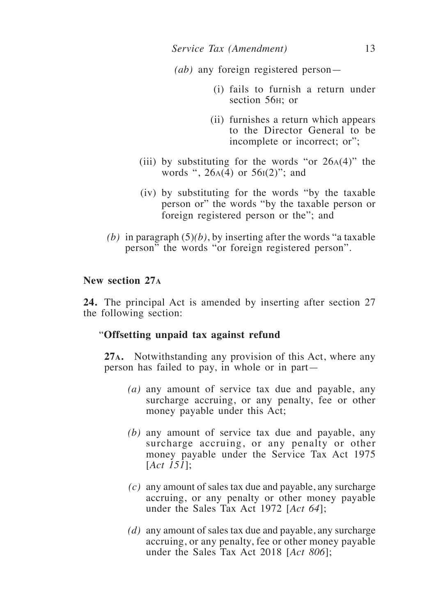- *(ab)* any foreign registered person—
	- (i) fails to furnish a return under section 56h; or
	- (ii) furnishes a return which appears to the Director General to be incomplete or incorrect; or";
- (iii) by substituting for the words "or  $26A(4)$ " the words ",  $26A(4)$  or  $56I(2)$ "; and
- (iv) by substituting for the words "by the taxable person or" the words "by the taxable person or foreign registered person or the"; and
- *(b)* in paragraph  $(5)(b)$ , by inserting after the words "a taxable" person" the words "or foreign registered person".

# **New section 27<sup>a</sup>**

**24.** The principal Act is amended by inserting after section 27 the following section:

# "**Offsetting unpaid tax against refund**

**27a.** Notwithstanding any provision of this Act, where any person has failed to pay, in whole or in part—

- *(a)* any amount of service tax due and payable, any surcharge accruing, or any penalty, fee or other money payable under this Act;
- *(b)* any amount of service tax due and payable, any surcharge accruing, or any penalty or other money payable under the Service Tax Act 1975 [*Act 151*];
- *(c)* any amount of sales tax due and payable, any surcharge accruing, or any penalty or other money payable under the Sales Tax Act 1972 [*Act 64*];
- *(d)* any amount of sales tax due and payable, any surcharge accruing, or any penalty, fee or other money payable under the Sales Tax Act 2018 [*Act 806*];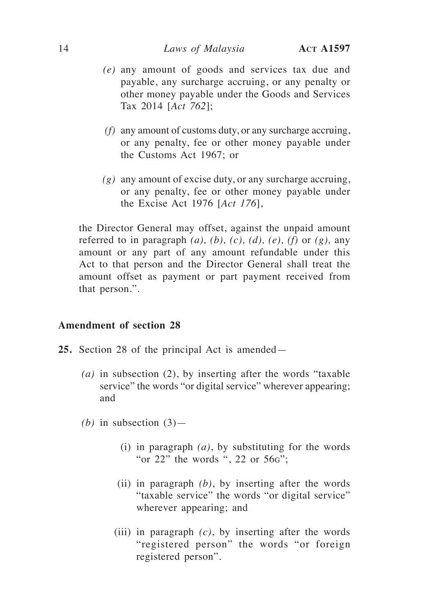#### 14 *Laws of Malaysia* **Act A1597**

- *(e)* any amount of goods and services tax due and payable, any surcharge accruing, or any penalty or other money payable under the Goods and Services Tax 2014 [*Act 762*];
- *(f)* any amount of customs duty, or any surcharge accruing, or any penalty, fee or other money payable under the Customs Act 1967; or
- *(g)* any amount of excise duty, or any surcharge accruing, or any penalty, fee or other money payable under the Excise Act 1976 [*Act 176*],

the Director General may offset, against the unpaid amount referred to in paragraph  $(a)$ ,  $(b)$ ,  $(c)$ ,  $(d)$ ,  $(e)$ ,  $(f)$  or  $(g)$ , any amount or any part of any amount refundable under this Act to that person and the Director General shall treat the amount offset as payment or part payment received from that person.".

# **Amendment of section 28**

- **25.** Section 28 of the principal Act is amended—
	- *(a)* in subsection (2), by inserting after the words "taxable service" the words "or digital service" wherever appearing; and
	- *(b)* in subsection (3)—
		- (i) in paragraph *(a)*, by substituting for the words "or 22" the words ", 22 or 56g";
		- (ii) in paragraph *(b)*, by inserting after the words "taxable service" the words "or digital service" wherever appearing; and
		- (iii) in paragraph *(c)*, by inserting after the words "registered person" the words "or foreign registered person".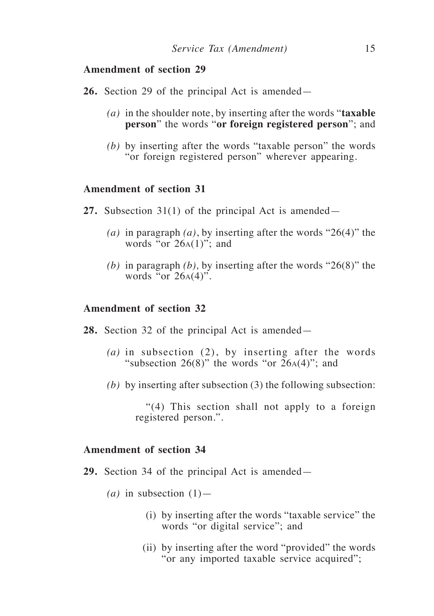- **26.** Section 29 of the principal Act is amended—
	- *(a)* in the shoulder note, by inserting after the words "**taxable person**" the words "**or foreign registered person**"; and
	- *(b)* by inserting after the words "taxable person" the words "or foreign registered person" wherever appearing.

# **Amendment of section 31**

- **27.** Subsection 31(1) of the principal Act is amended—
	- *(a)* in paragraph *(a)*, by inserting after the words "26(4)" the words "or  $26A(1)$ "; and
	- *(b)* in paragraph *(b),* by inserting after the words "26(8)" the words "or  $26A(4)$ ".

#### **Amendment of section 32**

- **28.** Section 32 of the principal Act is amended—
	- *(a)* in subsection (2), by inserting after the words "subsection  $26(8)$ " the words "or  $26A(4)$ "; and
	- *(b)* by inserting after subsection (3) the following subsection:

"(4) This section shall not apply to a foreign registered person.".

#### **Amendment of section 34**

- **29.** Section 34 of the principal Act is amended—
	- $(a)$  in subsection  $(1)$ 
		- (i) by inserting after the words "taxable service" the words "or digital service"; and
		- (ii) by inserting after the word "provided" the words "or any imported taxable service acquired";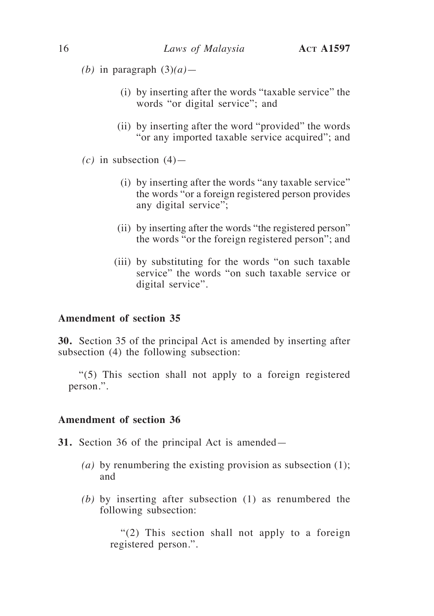*(b)* in paragraph  $(3)(a)$ —

- (i) by inserting after the words "taxable service" the words "or digital service"; and
- (ii) by inserting after the word "provided" the words "or any imported taxable service acquired"; and
- $(c)$  in subsection  $(4)$ 
	- (i) by inserting after the words "any taxable service" the words "or a foreign registered person provides any digital service";
	- (ii) by inserting after the words "the registered person" the words "or the foreign registered person"; and
	- (iii) by substituting for the words "on such taxable service" the words "on such taxable service or digital service".

# **Amendment of section 35**

**30.** Section 35 of the principal Act is amended by inserting after subsection (4) the following subsection:

"(5) This section shall not apply to a foreign registered person.".

#### **Amendment of section 36**

- **31.** Section 36 of the principal Act is amended—
	- *(a)* by renumbering the existing provision as subsection (1); and
	- *(b)* by inserting after subsection (1) as renumbered the following subsection:

"(2) This section shall not apply to a foreign registered person.".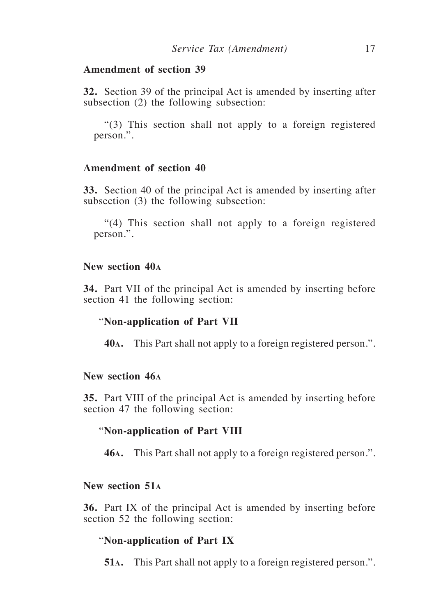**32.** Section 39 of the principal Act is amended by inserting after subsection (2) the following subsection:

"(3) This section shall not apply to a foreign registered person.".

# **Amendment of section 40**

**33.** Section 40 of the principal Act is amended by inserting after subsection (3) the following subsection:

"(4) This section shall not apply to a foreign registered person.".

# **New section 40<sup>a</sup>**

**34.** Part VII of the principal Act is amended by inserting before section 41 the following section:

#### "**Non-application of Part VII**

**40a.** This Part shall not apply to a foreign registered person.".

#### **New section 46<sup>a</sup>**

**35.** Part VIII of the principal Act is amended by inserting before section 47 the following section:

#### "**Non-application of Part VIII**

**46a.** This Part shall not apply to a foreign registered person.".

# **New section 51<sup>a</sup>**

**36.** Part IX of the principal Act is amended by inserting before section 52 the following section:

#### "**Non-application of Part IX**

**51a.** This Part shall not apply to a foreign registered person.".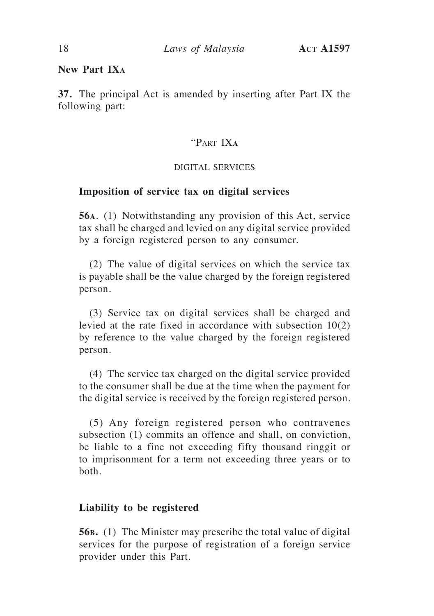# **New Part IX<sup>a</sup>**

**37.** The principal Act is amended by inserting after Part IX the following part:

# "Part IX**<sup>a</sup>**

#### DIGITAL SERVICES

#### **Imposition of service tax on digital services**

**56a**. (1) Notwithstanding any provision of this Act, service tax shall be charged and levied on any digital service provided by a foreign registered person to any consumer.

(2) The value of digital services on which the service tax is payable shall be the value charged by the foreign registered person.

(3) Service tax on digital services shall be charged and levied at the rate fixed in accordance with subsection 10(2) by reference to the value charged by the foreign registered person.

(4) The service tax charged on the digital service provided to the consumer shall be due at the time when the payment for the digital service is received by the foreign registered person.

(5) Any foreign registered person who contravenes subsection (1) commits an offence and shall, on conviction, be liable to a fine not exceeding fifty thousand ringgit or to imprisonment for a term not exceeding three years or to both.

#### **Liability to be registered**

**56b.** (1) The Minister may prescribe the total value of digital services for the purpose of registration of a foreign service provider under this Part.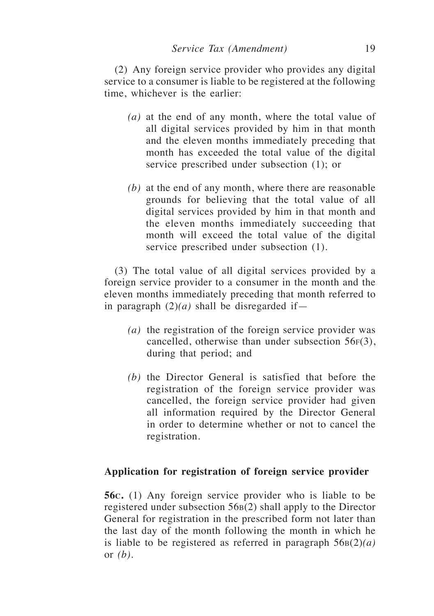(2) Any foreign service provider who provides any digital service to a consumer is liable to be registered at the following time, whichever is the earlier:

- *(a)* at the end of any month, where the total value of all digital services provided by him in that month and the eleven months immediately preceding that month has exceeded the total value of the digital service prescribed under subsection (1); or
- *(b)* at the end of any month, where there are reasonable grounds for believing that the total value of all digital services provided by him in that month and the eleven months immediately succeeding that month will exceed the total value of the digital service prescribed under subsection (1).

(3) The total value of all digital services provided by a foreign service provider to a consumer in the month and the eleven months immediately preceding that month referred to in paragraph  $(2)(a)$  shall be disregarded if —

- *(a)* the registration of the foreign service provider was cancelled, otherwise than under subsection  $56F(3)$ , during that period; and
- *(b)* the Director General is satisfied that before the registration of the foreign service provider was cancelled, the foreign service provider had given all information required by the Director General in order to determine whether or not to cancel the registration.

# **Application for registration of foreign service provider**

**56c.** (1) Any foreign service provider who is liable to be registered under subsection 56<sub>B</sub>(2) shall apply to the Director General for registration in the prescribed form not later than the last day of the month following the month in which he is liable to be registered as referred in paragraph  $56B(2)(a)$ or *(b).*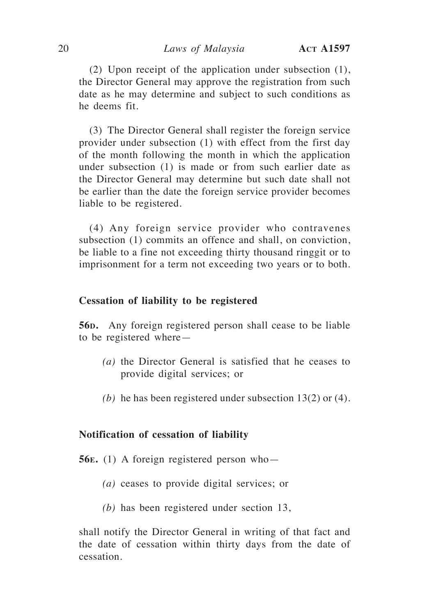(2) Upon receipt of the application under subsection (1), the Director General may approve the registration from such date as he may determine and subject to such conditions as he deems fit.

(3) The Director General shall register the foreign service provider under subsection (1) with effect from the first day of the month following the month in which the application under subsection (1) is made or from such earlier date as the Director General may determine but such date shall not be earlier than the date the foreign service provider becomes liable to be registered.

(4) Any foreign service provider who contravenes subsection (1) commits an offence and shall, on conviction, be liable to a fine not exceeding thirty thousand ringgit or to imprisonment for a term not exceeding two years or to both.

#### **Cessation of liability to be registered**

**56D.** Any foreign registered person shall cease to be liable to be registered where—

- *(a)* the Director General is satisfied that he ceases to provide digital services; or
- *(b)* he has been registered under subsection 13(2) or (4).

#### **Notification of cessation of liability**

**56e.** (1) A foreign registered person who—

- *(a)* ceases to provide digital services; or
- *(b)* has been registered under section 13,

shall notify the Director General in writing of that fact and the date of cessation within thirty days from the date of cessation.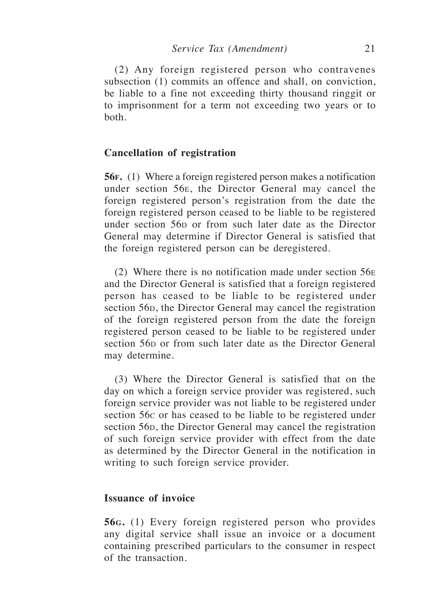(2) Any foreign registered person who contravenes subsection (1) commits an offence and shall, on conviction, be liable to a fine not exceeding thirty thousand ringgit or to imprisonment for a term not exceeding two years or to both.

#### **Cancellation of registration**

**56f.** (1) Where a foreign registered person makes a notification under section 56e, the Director General may cancel the foreign registered person's registration from the date the foreign registered person ceased to be liable to be registered under section 56<sub>D</sub> or from such later date as the Director General may determine if Director General is satisfied that the foreign registered person can be deregistered.

(2) Where there is no notification made under section 56<sup>e</sup> and the Director General is satisfied that a foreign registered person has ceased to be liable to be registered under section 56<sub>D</sub>, the Director General may cancel the registration of the foreign registered person from the date the foreign registered person ceased to be liable to be registered under section 56<sub>p</sub> or from such later date as the Director General may determine.

(3) Where the Director General is satisfied that on the day on which a foreign service provider was registered, such foreign service provider was not liable to be registered under section 56c or has ceased to be liable to be registered under section 56<sub>D</sub>, the Director General may cancel the registration of such foreign service provider with effect from the date as determined by the Director General in the notification in writing to such foreign service provider.

# **Issuance of invoice**

**56g.** (1) Every foreign registered person who provides any digital service shall issue an invoice or a document containing prescribed particulars to the consumer in respect of the transaction.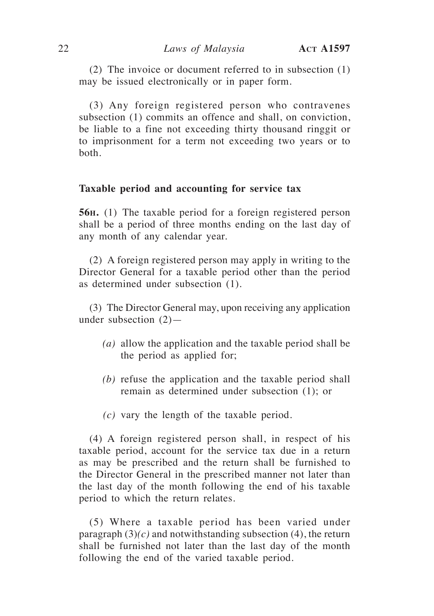(2) The invoice or document referred to in subsection (1) may be issued electronically or in paper form.

(3) Any foreign registered person who contravenes subsection (1) commits an offence and shall, on conviction, be liable to a fine not exceeding thirty thousand ringgit or to imprisonment for a term not exceeding two years or to both.

#### **Taxable period and accounting for service tax**

**56h.** (1) The taxable period for a foreign registered person shall be a period of three months ending on the last day of any month of any calendar year.

(2) A foreign registered person may apply in writing to the Director General for a taxable period other than the period as determined under subsection (1).

(3) The Director General may, upon receiving any application under subsection  $(2)$ —

- *(a)* allow the application and the taxable period shall be the period as applied for;
- *(b)* refuse the application and the taxable period shall remain as determined under subsection (1); or
- *(c)* vary the length of the taxable period.

(4) A foreign registered person shall, in respect of his taxable period, account for the service tax due in a return as may be prescribed and the return shall be furnished to the Director General in the prescribed manner not later than the last day of the month following the end of his taxable period to which the return relates.

(5) Where a taxable period has been varied under paragraph  $(3)(c)$  and notwithstanding subsection  $(4)$ , the return shall be furnished not later than the last day of the month following the end of the varied taxable period.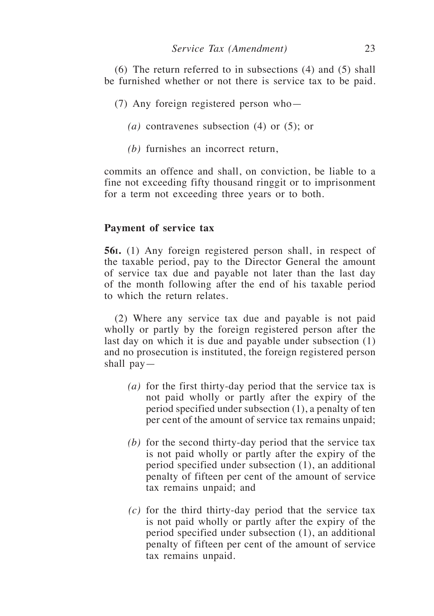(6) The return referred to in subsections (4) and (5) shall be furnished whether or not there is service tax to be paid.

- (7) Any foreign registered person who—
	- *(a)* contravenes subsection (4) or (5); or
	- *(b)* furnishes an incorrect return,

commits an offence and shall, on conviction, be liable to a fine not exceeding fifty thousand ringgit or to imprisonment for a term not exceeding three years or to both.

#### **Payment of service tax**

**56i.** (1) Any foreign registered person shall, in respect of the taxable period, pay to the Director General the amount of service tax due and payable not later than the last day of the month following after the end of his taxable period to which the return relates.

(2) Where any service tax due and payable is not paid wholly or partly by the foreign registered person after the last day on which it is due and payable under subsection (1) and no prosecution is instituted, the foreign registered person shall pay—

- *(a)* for the first thirty-day period that the service tax is not paid wholly or partly after the expiry of the period specified under subsection (1), a penalty of ten per cent of the amount of service tax remains unpaid;
- *(b)* for the second thirty-day period that the service tax is not paid wholly or partly after the expiry of the period specified under subsection (1), an additional penalty of fifteen per cent of the amount of service tax remains unpaid; and
- *(c)* for the third thirty-day period that the service tax is not paid wholly or partly after the expiry of the period specified under subsection (1), an additional penalty of fifteen per cent of the amount of service tax remains unpaid.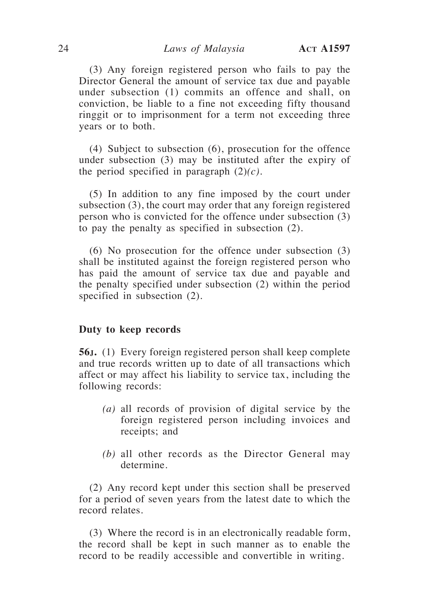(3) Any foreign registered person who fails to pay the Director General the amount of service tax due and payable under subsection (1) commits an offence and shall, on conviction, be liable to a fine not exceeding fifty thousand ringgit or to imprisonment for a term not exceeding three years or to both.

(4) Subject to subsection (6), prosecution for the offence under subsection (3) may be instituted after the expiry of the period specified in paragraph (2)*(c)*.

(5) In addition to any fine imposed by the court under subsection (3), the court may order that any foreign registered person who is convicted for the offence under subsection (3) to pay the penalty as specified in subsection (2).

(6) No prosecution for the offence under subsection (3) shall be instituted against the foreign registered person who has paid the amount of service tax due and payable and the penalty specified under subsection (2) within the period specified in subsection (2).

#### **Duty to keep records**

**56j.** (1) Every foreign registered person shall keep complete and true records written up to date of all transactions which affect or may affect his liability to service tax, including the following records:

- *(a)* all records of provision of digital service by the foreign registered person including invoices and receipts; and
- *(b)* all other records as the Director General may determine.

(2) Any record kept under this section shall be preserved for a period of seven years from the latest date to which the record relates.

(3) Where the record is in an electronically readable form, the record shall be kept in such manner as to enable the record to be readily accessible and convertible in writing.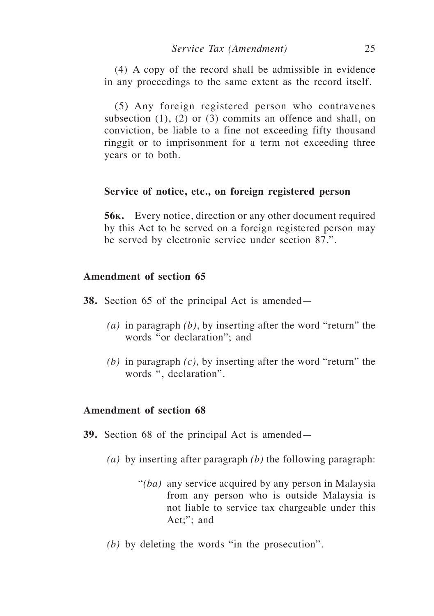(4) A copy of the record shall be admissible in evidence in any proceedings to the same extent as the record itself.

(5) Any foreign registered person who contravenes subsection (1), (2) or (3) commits an offence and shall, on conviction, be liable to a fine not exceeding fifty thousand ringgit or to imprisonment for a term not exceeding three years or to both.

#### **Service of notice, etc., on foreign registered person**

**56k.** Every notice, direction or any other document required by this Act to be served on a foreign registered person may be served by electronic service under section 87.".

# **Amendment of section 65**

- **38.** Section 65 of the principal Act is amended—
	- *(a)* in paragraph *(b)*, by inserting after the word "return" the words "or declaration"; and
	- *(b)* in paragraph *(c),* by inserting after the word "return" the words ", declaration".

# **Amendment of section 68**

- **39.** Section 68 of the principal Act is amended—
	- *(a)* by inserting after paragraph *(b)* the following paragraph:
		- "*(ba)* any service acquired by any person in Malaysia from any person who is outside Malaysia is not liable to service tax chargeable under this Act;"; and
	- *(b)* by deleting the words "in the prosecution".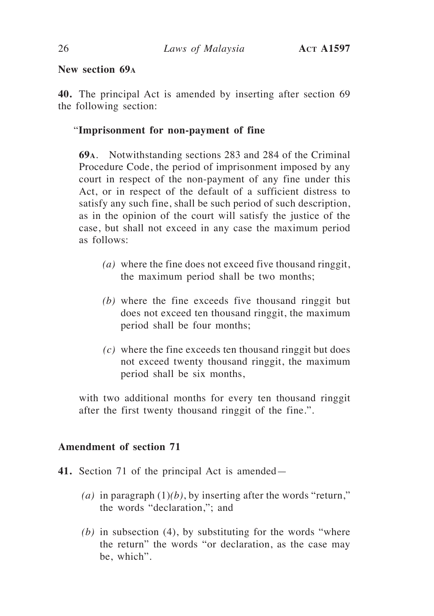# **New section 69<sup>a</sup>**

**40.** The principal Act is amended by inserting after section 69 the following section:

# "**Imprisonment for non-payment of fine**

**69a**. Notwithstanding sections 283 and 284 of the Criminal Procedure Code, the period of imprisonment imposed by any court in respect of the non-payment of any fine under this Act, or in respect of the default of a sufficient distress to satisfy any such fine, shall be such period of such description, as in the opinion of the court will satisfy the justice of the case, but shall not exceed in any case the maximum period as follows:

- *(a)* where the fine does not exceed five thousand ringgit, the maximum period shall be two months;
- *(b)* where the fine exceeds five thousand ringgit but does not exceed ten thousand ringgit, the maximum period shall be four months;
- *(c)* where the fine exceeds ten thousand ringgit but does not exceed twenty thousand ringgit, the maximum period shall be six months,

with two additional months for every ten thousand ringgit after the first twenty thousand ringgit of the fine.".

# **Amendment of section 71**

- **41.** Section 71 of the principal Act is amended—
	- (*a*) in paragraph  $(1)(b)$ , by inserting after the words "return," the words "declaration,"; and
	- *(b)* in subsection (4), by substituting for the words "where the return" the words "or declaration, as the case may be, which".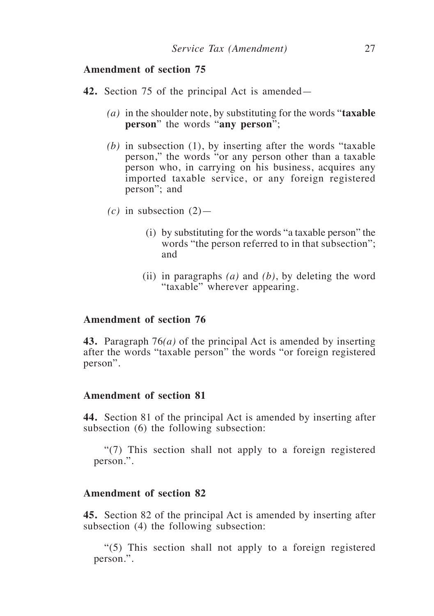- **42.** Section 75 of the principal Act is amended—
	- *(a)* in the shoulder note, by substituting for the words "**taxable person**" the words "**any person**";
	- *(b)* in subsection (1), by inserting after the words "taxable person," the words "or any person other than a taxable person who, in carrying on his business, acquires any imported taxable service, or any foreign registered person"; and
	- $(c)$  in subsection  $(2)$ 
		- (i) by substituting for the words "a taxable person" the words "the person referred to in that subsection"; and
		- (ii) in paragraphs *(a)* and *(b)*, by deleting the word "taxable" wherever appearing.

#### **Amendment of section 76**

**43.** Paragraph 76*(a)* of the principal Act is amended by inserting after the words "taxable person" the words "or foreign registered person".

# **Amendment of section 81**

**44.** Section 81 of the principal Act is amended by inserting after subsection (6) the following subsection:

"(7) This section shall not apply to a foreign registered person.".

# **Amendment of section 82**

**45.** Section 82 of the principal Act is amended by inserting after subsection (4) the following subsection:

"(5) This section shall not apply to a foreign registered person.".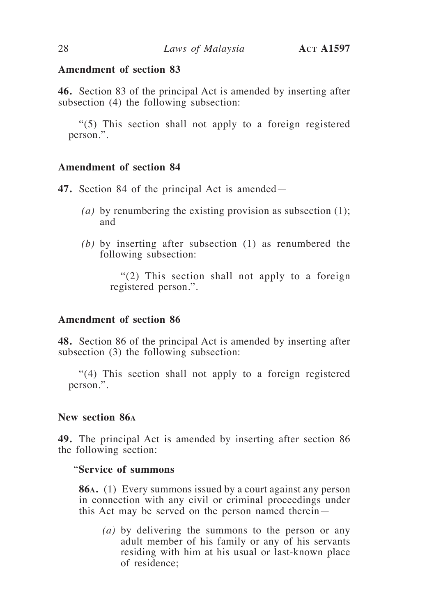**46.** Section 83 of the principal Act is amended by inserting after subsection (4) the following subsection:

"(5) This section shall not apply to a foreign registered person.".

# **Amendment of section 84**

**47.** Section 84 of the principal Act is amended—

- *(a)* by renumbering the existing provision as subsection (1); and
- *(b)* by inserting after subsection (1) as renumbered the following subsection:

"(2) This section shall not apply to a foreign registered person.".

#### **Amendment of section 86**

**48.** Section 86 of the principal Act is amended by inserting after subsection (3) the following subsection:

"(4) This section shall not apply to a foreign registered person.".

#### **New section 86<sup>a</sup>**

**49.** The principal Act is amended by inserting after section 86 the following section:

# "**Service of summons**

**86a.** (1) Every summons issued by a court against any person in connection with any civil or criminal proceedings under this Act may be served on the person named therein—

*(a)* by delivering the summons to the person or any adult member of his family or any of his servants residing with him at his usual or last-known place of residence;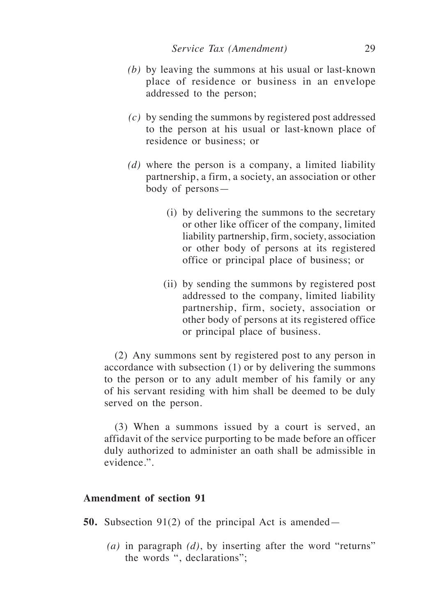- *(b)* by leaving the summons at his usual or last-known place of residence or business in an envelope addressed to the person;
- *(c)* by sending the summons by registered post addressed to the person at his usual or last-known place of residence or business; or
- *(d)* where the person is a company, a limited liability partnership, a firm, a society, an association or other body of persons—
	- (i) by delivering the summons to the secretary or other like officer of the company, limited liability partnership, firm, society, association or other body of persons at its registered office or principal place of business; or
	- (ii) by sending the summons by registered post addressed to the company, limited liability partnership, firm, society, association or other body of persons at its registered office or principal place of business.

(2) Any summons sent by registered post to any person in accordance with subsection (1) or by delivering the summons to the person or to any adult member of his family or any of his servant residing with him shall be deemed to be duly served on the person.

(3) When a summons issued by a court is served, an affidavit of the service purporting to be made before an officer duly authorized to administer an oath shall be admissible in evidence.".

# **Amendment of section 91**

**50.** Subsection 91(2) of the principal Act is amended—

*(a)* in paragraph *(d)*, by inserting after the word "returns" the words ", declarations";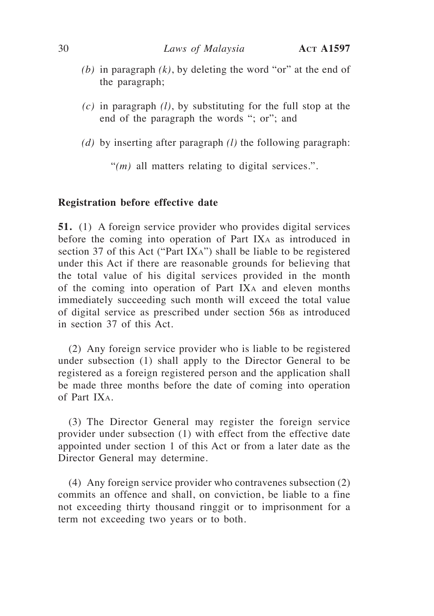- *(b)* in paragraph *(k)*, by deleting the word "or" at the end of the paragraph;
- *(c)* in paragraph *(l)*, by substituting for the full stop at the end of the paragraph the words "; or"; and
- *(d)* by inserting after paragraph *(l)* the following paragraph:

"(*m*) all matters relating to digital services.".

# **Registration before effective date**

**51.** (1) A foreign service provider who provides digital services before the coming into operation of Part IX<sup>a</sup> as introduced in section 37 of this Act ("Part IXa") shall be liable to be registered under this Act if there are reasonable grounds for believing that the total value of his digital services provided in the month of the coming into operation of Part IX<sup>a</sup> and eleven months immediately succeeding such month will exceed the total value of digital service as prescribed under section 56<sub>B</sub> as introduced in section 37 of this Act.

(2) Any foreign service provider who is liable to be registered under subsection (1) shall apply to the Director General to be registered as a foreign registered person and the application shall be made three months before the date of coming into operation of Part IXa.

(3) The Director General may register the foreign service provider under subsection (1) with effect from the effective date appointed under section 1 of this Act or from a later date as the Director General may determine.

(4) Any foreign service provider who contravenes subsection (2) commits an offence and shall, on conviction, be liable to a fine not exceeding thirty thousand ringgit or to imprisonment for a term not exceeding two years or to both.